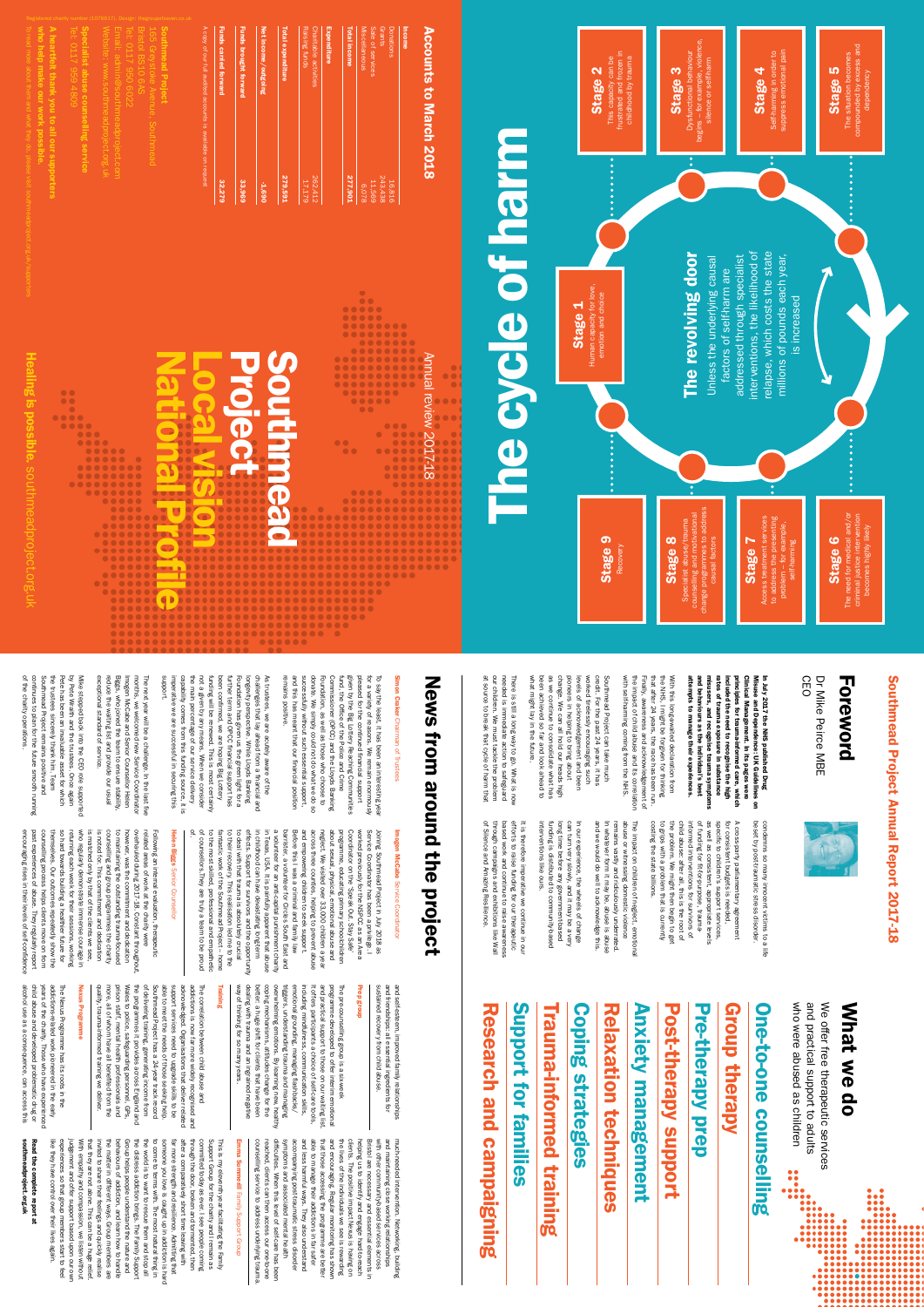National Profile

ES

Local vision

**Rijeoo** 

Project

pleased remains and this Foundation, as well as those who choose to<br>donate. We simply could not do what we do so<br>successfully without such essential support, Commissioner (OPCC) and the Lloyds Banking given by the Big Lottery Reaching Comn<br>fund, the Office of the Police and Crime fund, the Office of the Police and Crime given by the Big Lottery Reaching Communities To say the least, it has been an interesting year<br>for a variety of reasons. We remain enormously for a variety of reasons. We remain enormously To say the least, it has been an interesting year remains positive. and this has meant that our financial position successfully without such essential support, donate. We simply could not do what we do so Foundation, as well as those who choose to Commissioner (OPCC) and the Lloyds Banking pleased for the continued financial support s positive. has meant that our financial position the Big Lottery Reaching Communities for the continued financial support

Southmead

 $\begin{picture}(100,100) \put(0,0){\vector(1,0){100}} \put(0,0){\vector(1,0){100}} \put(0,0){\vector(1,0){100}} \put(0,0){\vector(1,0){100}} \put(0,0){\vector(1,0){100}} \put(0,0){\vector(1,0){100}} \put(0,0){\vector(1,0){100}} \put(0,0){\vector(1,0){100}} \put(0,0){\vector(1,0){100}} \put(0,0){\vector(1,0){100}} \put(0,0){\vector(1,0){100}} \put(0,0){\vector$ 

Southm

Annual review 2017-18

ling

 $\overline{\bm{G}}$ 

 $\bullet\bullet$ 

 $\begin{array}{ccccc}\n\bullet & \bullet & \bullet & \bullet\n\end{array}$  $\begin{array}{c} \bullet & \bullet & \bullet \end{array}$ 

----<br>------<br>---------<br>---------

# **Accounts to March 2018** Accounts to March 2018

pos

sibl

e.

sout

 $\overline{\mathcal{L}}$  $\overline{\mathbf{B}}$ 

eadprojec

t.org.u

 $\overline{\mathbf{X}}$ 

**Funds brought forward** Total expenditure **Funds carried forward** Funds carried forward Funds brought forward Net income/outgoing Net income/outgoing Total expei 279,591 32,279 33,969 -1,690

A copy of our full audited accounts is available on request

| Income                |                |
|-----------------------|----------------|
| Donations             | 16,816         |
| Grants                | 243,438        |
| Sale of services      | 11,569         |
| Miscellaneous         | 870,8          |
| Total income          | <b>277,901</b> |
| Expenditure           |                |
| Charitable activities | 262,412        |
| Raising funds         | 17,179         |
|                       |                |

 $\bullet$ 

.....

w.sout  $\overline{\mathcal{L}}$  $\equiv$ 

Website: ww

Email: admin@southmeadproject.com

Tel: 0117 950 6022 Bristol BS10 6AS 165 Greystoke Avenue, Southmead

Southmead Project

outhmead Project

Self-harming in order to<br>suppress emotional pain Self-harming in order to suppress emotional pain Stage 4

A copy of our full audited accounts is available on request

compounded by excess and compounded by excess and<br>dependency The situation becomes Stage 5 dependency The situati

eadproject.org.

 $\subset$  $\asymp$ 

> The revolving door The revolving door

interventions, the likelihood of relapse, which costs the state addressed through specialist nterventions, the likelihood of Unless the underlying causal Unless the underlying causal addressed through specialist

relapse, which costs the state<br>millions of pounds each year, millions of pounds each year,

who help make our work possible.

Stage 9 Recovery

change programmes to address counselling and motivational Specialist abuse/trauma Stage 8 causal factors  $\overline{\circ}$ change

A heartfelt thank you to all our supporters

elt thank you to all our supporters

Specialist abuse counselling service

abuse counselling service<br>abuse counselling service

Stage 1 Human capacity for love,

Human capacity for love,<br>emotion and choice

The cycle of harm

**Rue Cole of hall** 

man capacity for love, and choice and choice and choice and choice and choice and choice and choice and choice and choice and choice and choice and choice and choice and choice and choice and choice and choice and choice a

There is still a long way to go. What is now<br>needed is immediate action to safeguard<br>our children. We must tackle the problem<br>at source to break that cycle of harm that There is still a long way to go. What is now at source to break that cycle of harm that our children. We must tackle the problem needed is immediate action to safeguard

pioneers in helping to bring about levels of acknowledgement and been tirelessly encouraging such

This capacity can be frustrated and frozen in childhood by trauma

Stage 2

This capacity can be<br>frustrated and frozen in<br>childhood by trauma

change. We can all hold our heads high<br>as we continue to consolidate what has<br>been achieved so far and look ahead to<br>what might lay in the future. worked been achieved so far and look ahead to as we continue to consolidate what has

Stage 3 Dysfunctional behaviour begins – for example, violence, silence or self-harm

the NHS, I might be forgiven for thinking<br>that after 24 years, the race has been run.<br>Finally, awareness and acknowledgement of<br>the impact of child abuse and its correlation the impact of child abuse and its correlation that after 24 years, the race has been run. the NHS, I might be forgiven for thinking With this long-awaited declaration from With this long-awaited declaration from Finally, awareness and acknowledgement of attempts to manage their experiences. attempts to manage their experiences.



factors of self-harm are factors of self-harm are is increased is increased

In July 2017 the NHS published Drug<br>Misuse and Dependence: UK Guidelines on<br>Clinical Management. In its pages were<br>principles for trauma-informed care, which<br>included the need to recognise the high<br>rates of trauma exposur misusers, and recognise trauma symptoms<br>and behaviours as the individual's best and behaviours as the individual's best misusers, and recognise trauma symptoms rates of trauma exposure in substance included the need to recognise the high principles for trauma-informed care, which Clinical Management. In its pages were Misuse and Dependence: UK Guidelines on In July 2017 the NHS published Drug

Stage 7 Access treatment services

Stage 6<br>e need for medical and/or<br>iminal justice intervention<br>becomes highly likely The need for medical and/or criminal justice intervention becomes highly likely criminal The ne

to address the presenting problem – for example, the pres self-harming self-harming

and we would do well to acknowledge this. In whatever form it may be, abuse is abuse remains vastly and ridiculously underrated. abuse or witnessing domestic violence The impact on children of neglect, emotional and we would do well to acknowledge this. In whatever form it may be, abuse is abuse remains vastly and ridiculously underrated. abuse or witnessing domestic violence The impact on children of neglect, emotional

child abuse: after all, this is the root of<br>the problem. We might then begin to get specific to children's support services,<br>as well as consistent, appropriate levels<br>of funding for fit-for-purpose, traumacosting the state billions to grips with a problem that is currently informed interventions for survivors of for consistent budgets is needed, A cross-party parliamentary agreement costing the state billions. to grips with a problem that is currently the problem. We might then begin to get child abuse: after all, this is the root of informed interventions for survivors of of funding for fit-for-purpose, traumaas well as consistent, appropriate levels specific to children's support services, for consistent budgets is needed, A cross-party parliamentary agreement

beset by post-traumatic stress disorder. condemns so many innocent victims to a life beset by post-traumatic stress disorder. condemns so many innocent victims to a life

# News from around the project News from around the project

Dr Mike Peirce MBE like Peirce MBE

Dr M

# Foreword **eword**

 $\overline{\mathbf{C}}$ 

# Southmead Project Annual Report 2017-18 thmead Project Annual Report 2017-18

Sou

# Simon Craker Chairman of Trustees Simon Craker Chairman of Trustees

what might lay in the future. levels of acknowledgement and been worked tirelessly encouraging such Southmead Project can take much<br>credit. For the past 24 years, it has change. We can all hold our heads high pioneers in helping to bring about credit. For the past 24 years, it has Southmead Project can take much

with self-harming coming from the NHS.

with self-harming coming from the NHS.

interventions like ours funding is distributed to community-based long time before any government-based can turn very slowly, and it may be a very  $\overline{5}$ interventions like ours. funding is distributed to community-based long time before any government-based can turn very slowly, and it may be a very In our experience, the wheels of change our experience, the wheels of change

efforts to raise funding for our therapeutic of Silence and Amazing Resilience. through campaigns and exhibitions like Wall based work and continue to raise awareness It is therefore imperative of Silence and Amazing Resilience. through campaigns and exhibitions like Wall based work and continue to raise awareness efforts to raise funding for our therapeutic It is therefore imperative we continue in our we continue in our

challenges that lay ahead from a financial and<br>Iongevity perspective. While Lloyds Banking<br>Foundation has given us the green light for a<br>further term and OPCC financial support has<br>been confirmed, we are hoping Big Lottery not a given by any means. When we consider<br>the main percentage of our service delivery<br>capability comes from this funding source, it is<br>imperative we are successful in securing this<br>support. the main percentage of our service delivery funding will be renewed. This is most certainly further term and OPCC financial support has As trustees, we are acutely aware of the As trustees, we are acutely aware of the imperative we are successful in securing this capability comes from this funding source, it is not a given by any means. When we consider been confirmed, we are hoping Big Lottery Foundation has given us the green light for a longevity perspective. While Lloyds Banking challenges that lay ahead from a financial and

................ ......

The next year will be a challenge. In the last five The next year will be a challenge. In the last five exceptional standard of service. reduce the waiting list and provide our usual Biggs, who joined the team to ensure stability, Imogen McCabe and Senior Counsellor Helen months, we welcomed new Service Coordinator phal standard of service the waiting list and provide our usual who joined the team to ensure stability, McCabe and Senior Counsellor Helen we welcomed new Service Coordinator

> Imogen McCabe Service Coordinator Imogen McCabe Service Coordinator

fantastic work of the Southmead Project – home<br>to the most skilled, professional and empathetic<br>of counsellors. They are truly a team to be proud to deal with that trauma is absolutely crucial<br>to their recovery. This realisation led me to the in childhood can have devastating long-term<br>effects. Support for survivors and the opportunity a volunteer for an anti-capital punishment charity<br>in Texas, USA. It is painfully apparent that abuse barrister, a volunteer for Circles South East and Before this I was a criminal and family law about sexual, physical, emotional abuse and<br>neglect. We visited over 33,000 children a year<br>across three counties, helping to prevent abuse<br>and empowering children to seek support. Service of. programme, educating primary schoolchildren worked previously for the NSPCC as an Area<br>Coordinator on the 'Speak Out. Stay Safe' Joining Southmead Project in July 2018 as of counsellors.They are truly a team to be proud to the most skilled, professional and empathetic fantastic work of the Southmead Project – home to their recovery. This realisation led me to the to deal with that trauma is absolutely crucial effects. Support for survivors and the opportunity in childhood can have devastating long-term in Texas, USA. It is painfully apparent that abuse a volunteer for an anti-capital punishment charity barrister, a volunteer for Circles South East and Before this I was a criminal and family law and empowering children to seek support. across three counties, helping to prevent abuse neglect. We visited over 33,000 children a year about sexual, physical, emotional abuse and programme, educating primary schoolchildren Coordinator on the 'Speak Out. Stay Safe' worked previously for the NSPCC as an Area Service Coordinator has been a privilege. I Joining Southmead Project in July 2018 as Coordinator has been a privilege. I

# Helen Biggs Senior Counsellor Helen Biggs Senior Counsellor

past experiences of abuse. They regularly report<br>encouraging rises in their levels of self-confidenc however, was the commitment and dedication<br>to maintaining the outstanding trauma-focused counselling process helps clients move on from themselves. Our outcomes repeatedly show the so hard towards building a healthier future for returning each week for their sessions, working who regularly demonstrate immense courage in is matched only by that of the clients we see. is noted for. This commitment and dedication counselling and group programmes the charity related areas of work at the charity were<br>overhauled during 2017-18. Constant throughout, Following an internal evaluation, therapeutic encouraging rises in their levels of self-confidence past experiences of abuse. They regularly report counselling process helps clients move on from themselves. Our outcomes repeatedly show the so hard towards building a healthier future for returning each week for their sessions, working who regularly demonstrate immense courage in is matched only by that of the clients we see, is noted for. This commitment and dedication counselling and group programmes the charity to maintaining the outstanding trauma-focused however, was the commitment and dedication overhauled during 2017-18. Constant throughout, related areas of work at the charity were Following an internal evaluation, therapeutic

years of the charity. Those who have experienced<br>child abuse and developed problematic drug or The Nexus Programme has its roots in the alcohol use as a consequence, can access this alcohol use as a consequence, can access this child abuse and developed problematic drug or years of the charity. Those who have experienced addictions-related work pioneered in the early addictions-related work pioneered in the early The Nexus Programme has its roots in the

# **Nexus Programme** Nexus Programme

able to meet the needs of those seeking help.<br>Southmead Project has a 24-year track record Wales to police, safeguarding personnel, GPs,<br>Wales to police, safeguarding personnel, GPs,<br>prison staff, mental health professionals and the programmes it provides across England and of delivering training, generating income from support services need to upgrade skills to be acknowledged. Organisations that deliver related addictions is now far more widely recognised and The correlation between child abuse and quality, trauma-informed training we deliver. quality, trauma-informed training we deliver. more, all of whom have all benefited from the more, all of whom have all benefited from the Wales to police, safeguarding personnel, GPs, the programmes it provides across England and of delivering training, generating income from Southmead Project has a 24-year track record able to meet the needs of those seeking help. support services need to upgrade skills to be acknowledged. Organisations that deliver related addictions is now far more widely recognised and The correlation between child abuse and prison staff, mental health professionals and

CEO

triggers, understanding trauma and managing<br>overwhelming emotions. By learning new, healthy<br>coping mechanisms, attitudes change for the better: a huge shift for clients that have been<br>dealing with trauma and an ingrained negative emotional grounding, managing flashbacks/ It offers participants a choice of self-care tools, and practical support to those on our waiting list. way of thinking for so many years. way of thinking for so many years. dealing with trauma and an ingrained negative better: a huge shift for clients that have been coping mechanisms, attitudes change for the overwhelming emotions. By learning new, healthy triggers, understanding trauma and managing emotional grounding, managing flashbacks/ including mindfulness, communication skills, and practical support to those on our waiting list. programme developed to offer interim emotional The pre-counselling group is a six-week The pre-counselling group is a six-week including mindfulness, communication skills, It offers participants a choice of self-care tools, programme developed to offer interim emotional

# **Prep group** Prep group

| of the charity operations.                       |
|--------------------------------------------------|
| contrinues to plan for the future smooth running |
| Southmead Project remains positive and           |
| the trustees sincerely thim. Team                |
| Pete has been an invaluable asset for vhich      |
| by Pete Wraith and the trustees. Once again      |
| Mike stepped back into the OEO role supported    |
|                                                  |
| exceptional standard of service.                 |
| reduce the waiting list and provide our usual    |
| Biggs, x-o joined the team to ensure stability;  |
| Imogen McCabe and Senior Counsellor Helen        |
| months, we welcomed new Service Coordinator      |

Hea

and self-esteem, improved family relationships<br>and friendships: all essential ingredients for<br>sustained recovery from child abuse. sustained recovery from child abuse. and friendships: all essential ingredients for and self-esteem, improved family relationships

counselling service to address underlying trauma reached, clients can then access our one-to-one difficulties. When this level of self-care has been symptoms and associated mental health accompanying post-traumatic stress disorder and less harmful ways. They also understand that those accessing the programme are better that those accessing the programme are better the lives of the individuals we see is rewarding the lives of the individuals we see is rewarding clients. The positive impact Nexus is having on and maintaining close working relationships<br>with other community-based services across with other community-based services across much-needed intervention. Networking, building counselling service to address underlying trauma. reached, clients can then access our one-to-one difficulties. When this level of self-care has been symptoms and associated mental health accompanying post-traumatic stress disorder and less harmful ways. They also understand able to manage their addictions in far safer able to manage their addictions in far safer and encouraging. Regular monitoring has shown and encouraging. Regular monitoring has shown clients. The positive impact Nexus is having on helping us to identify and engage hard-to-reach helping us to identify and engage hard-to-reach Bristol are necessary and essential elements in Bristol are necessary and essential elements in and maintaining close working relationships much-needed intervention. Networking, building

# Emma Summerill Family Support Group Emma Summerill Family Support Group

the world is to want to rescue them and stop all<br>the distress addiction brings. The Family Support committed today as ever. I see people coming<br>through the door, broken and tormented, then judgement and offer support based upon our own<br>experiences so that group members start to feel judgement and offer support based upon our own With empathy and compassion, we listen without With empathy and compassion, we listen without that they are not alone. This can be a huge relief. that they are not alone. This can be a huge relief. the matter in different ways. Group members are the matter in different ways. Group members are Group helps people understand the nature and<br>behaviours of addiction, and learn how to handle the distress addiction brings. The Family Support the world is to want to rescue them and stop all someone you love is caught up in addiction is hard<br>to come to terms with. The most natural thing in to come to terms with. The most natural thing in far more strength and resilience. Admitting that far more strength and resilience. Admitting that after a comparatively short time leaving with through the door, broken and tormented, then Support Group for the charity and I remain as This is my eleventh year facilitating the Family This is my eleventh year facilitating the Family like they have control over their lives again like they have control over their lives again. experiences so that group members start to feel invited to share their feelings and quickly realise invited to share their feelings and quickly realise behaviours of addiction, and learn how to handle Group helps people understand the nature and someone you love is caught up in addiction is hard after a comparatively short time leaving with committed today as ever. I see people coming Support Group for the charity and I remain as

# Research and campaigning Research and campaigning

Support for families Support for families

Trauma-informed training Trauma-informed training

Coping strategies **Coping strategies** 

**Relaxation techniques** Relaxation techniques

Anxiety management **Anxiety management** 

**Post-therapy support Pre-therapy prep** Post-therapy support Pre-therapy prep

# Group therapy **Group therapy**

# One-to-one counselling One-to-one counselling

who were abused as children and practical support to adults We offer free therapeutic services who were abused as children We offer free therapeutic services and practical support to adults 

# What we do What we do

# Training

southmeadproject.org.uk Read the complete report at southmeadproject.org.uk Read the complete report at